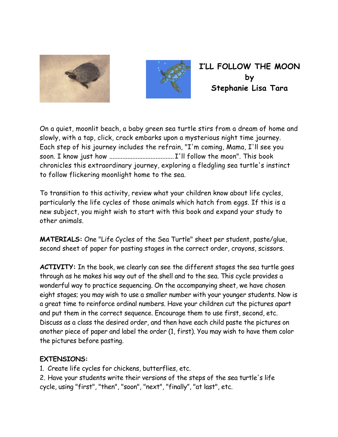



**I'LL FOLLOW THE MOON by Stephanie Lisa Tara** 

On a quiet, moonlit beach, a baby green sea turtle stirs from a dream of home and slowly, with a tap, click, crack embarks upon a mysterious night time journey. Each step of his journey includes the refrain, "I'm coming, Mama, I'll see you soon. I know just how ....................................... I'll follow the moon". This book chronicles this extraordinary journey, exploring a fledgling sea turtle's instinct to follow flickering moonlight home to the sea.

To transition to this activity, review what your children know about life cycles, particularly the life cycles of those animals which hatch from eggs. If this is a new subject, you might wish to start with this book and expand your study to other animals.

**MATERIALS:** One "Life Cycles of the Sea Turtle" sheet per student, paste/glue, second sheet of paper for pasting stages in the correct order, crayons, scissors.

**ACTIVITY:** In the book, we clearly can see the different stages the sea turtle goes through as he makes his way out of the shell and to the sea. This cycle provides a wonderful way to practice sequencing. On the accompanying sheet, we have chosen eight stages; you may wish to use a smaller number with your younger students. Now is a great time to reinforce ordinal numbers. Have your children cut the pictures apart and put them in the correct sequence. Encourage them to use first, second, etc. Discuss as a class the desired order, and then have each child paste the pictures on another piece of paper and label the order (1, first). You may wish to have them color the pictures before pasting.

## **EXTENSIONS:**

1. Create life cycles for chickens, butterflies, etc.

2. Have your students write their versions of the steps of the sea turtle's life cycle, using "first", "then", "soon", "next", "finally", "at last", etc.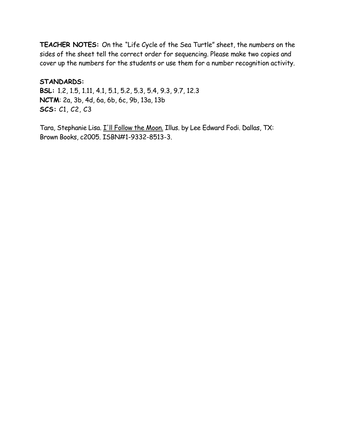**TEACHER NOTES:** On the "Life Cycle of the Sea Turtle" sheet, the numbers on the sides of the sheet tell the correct order for sequencing. Please make two copies and cover up the numbers for the students or use them for a number recognition activity.

**STANDARDS: BSL:** 1.2, 1.5, 1.11, 4.1, 5.1, 5.2, 5.3, 5.4, 9.3, 9.7, 12.3 **NCTM**: 2a, 3b, 4d, 6a, 6b, 6c, 9b, 13a, 13b **SCS:** C1, C2, C3

Tara, Stephanie Lisa. I'll Follow the Moon. Illus. by Lee Edward Fodi. Dallas, TX: Brown Books, c2005. ISBN#1-9332-8513-3.